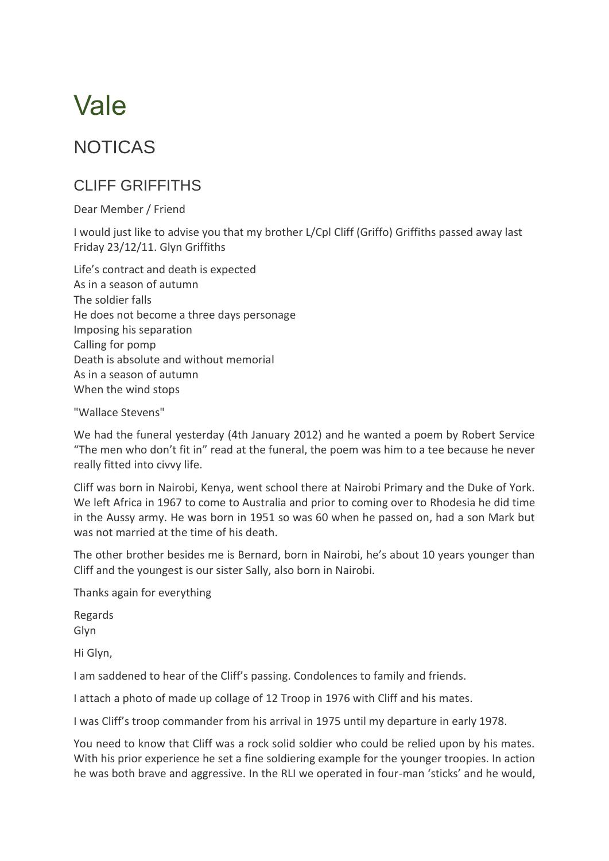## Vale

## NOTICAS

## CLIFF GRIFFITHS

Dear Member / Friend

I would just like to advise you that my brother L/Cpl Cliff (Griffo) Griffiths passed away last Friday 23/12/11. Glyn Griffiths

Life's contract and death is expected As in a season of autumn The soldier falls He does not become a three days personage Imposing his separation Calling for pomp Death is absolute and without memorial As in a season of autumn When the wind stops

"Wallace Stevens"

We had the funeral yesterday (4th January 2012) and he wanted a poem by Robert Service "The men who don't fit in" read at the funeral, the poem was him to a tee because he never really fitted into civvy life.

Cliff was born in Nairobi, Kenya, went school there at Nairobi Primary and the Duke of York. We left Africa in 1967 to come to Australia and prior to coming over to Rhodesia he did time in the Aussy army. He was born in 1951 so was 60 when he passed on, had a son Mark but was not married at the time of his death.

The other brother besides me is Bernard, born in Nairobi, he's about 10 years younger than Cliff and the youngest is our sister Sally, also born in Nairobi.

Thanks again for everything

Regards Glyn

Hi Glyn,

I am saddened to hear of the Cliff's passing. Condolences to family and friends.

I attach a photo of made up collage of 12 Troop in 1976 with Cliff and his mates.

I was Cliff's troop commander from his arrival in 1975 until my departure in early 1978.

You need to know that Cliff was a rock solid soldier who could be relied upon by his mates. With his prior experience he set a fine soldiering example for the younger troopies. In action he was both brave and aggressive. In the RLI we operated in four-man 'sticks' and he would,